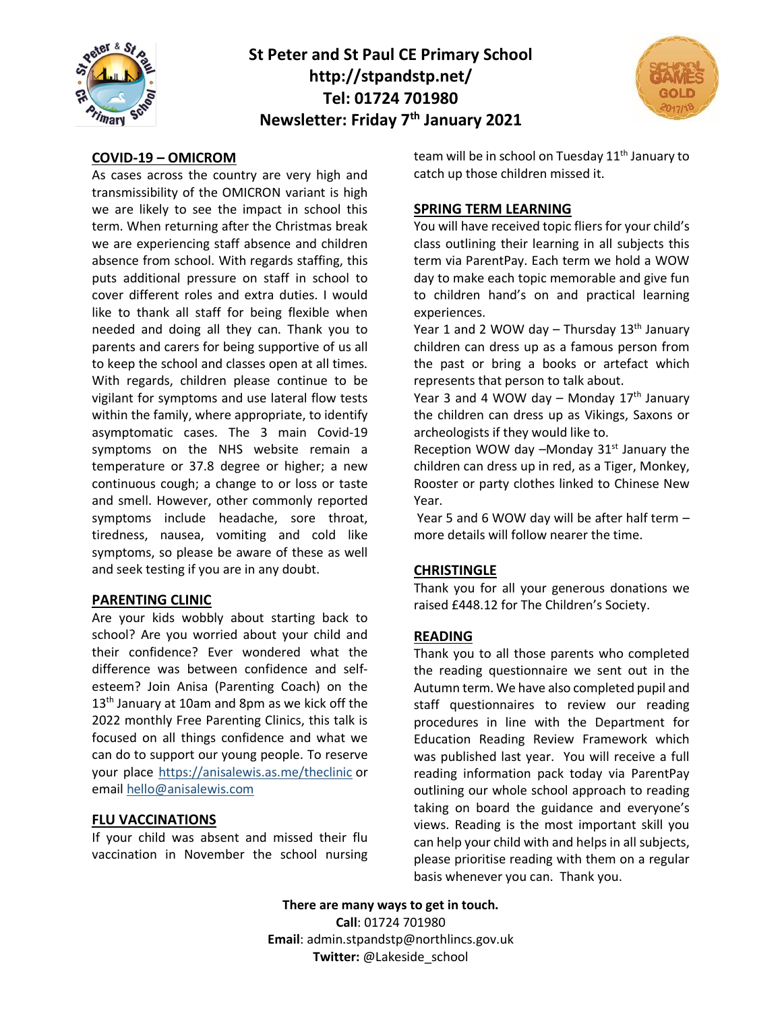

# **St Peter and St Paul CE Primary School http://stpandstp.net/ Tel: 01724 701980 Newsletter: Friday 7th January 2021**



## **COVID-19 – OMICROM**

As cases across the country are very high and transmissibility of the OMICRON variant is high we are likely to see the impact in school this term. When returning after the Christmas break we are experiencing staff absence and children absence from school. With regards staffing, this puts additional pressure on staff in school to cover different roles and extra duties. I would like to thank all staff for being flexible when needed and doing all they can. Thank you to parents and carers for being supportive of us all to keep the school and classes open at all times. With regards, children please continue to be vigilant for symptoms and use lateral flow tests within the family, where appropriate, to identify asymptomatic cases. The 3 main Covid-19 symptoms on the NHS website remain a temperature or 37.8 degree or higher; a new continuous cough; a change to or loss or taste and smell. However, other commonly reported symptoms include headache, sore throat, tiredness, nausea, vomiting and cold like symptoms, so please be aware of these as well and seek testing if you are in any doubt.

## **PARENTING CLINIC**

Are your kids wobbly about starting back to school? Are you worried about your child and their confidence? Ever wondered what the difference was between confidence and selfesteem? Join Anisa (Parenting Coach) on the  $13<sup>th</sup>$  January at 10am and 8pm as we kick off the 2022 monthly Free Parenting Clinics, this talk is focused on all things confidence and what we can do to support our young people. To reserve your place [https://anisalewis.as.me/theclinic](https://www.google.com/url?q=https://anisalewis.as.me/theclinic&sa=D&source=calendar&usd=2&usg=AOvVaw0r89bQd4Z7Iv2maJVhLG_E) or email [hello@anisalewis.com](mailto:hello@anisalewis.com)

### **FLU VACCINATIONS**

If your child was absent and missed their flu vaccination in November the school nursing

team will be in school on Tuesday 11<sup>th</sup> January to catch up those children missed it.

### **SPRING TERM LEARNING**

You will have received topic fliers for your child's class outlining their learning in all subjects this term via ParentPay. Each term we hold a WOW day to make each topic memorable and give fun to children hand's on and practical learning experiences.

Year 1 and 2 WOW day  $-$  Thursday 13<sup>th</sup> January children can dress up as a famous person from the past or bring a books or artefact which represents that person to talk about.

Year 3 and 4 WOW day – Monday  $17<sup>th</sup>$  January the children can dress up as Vikings, Saxons or archeologists if they would like to.

Reception WOW day  $-M$ onday 31 $st$  January the children can dress up in red, as a Tiger, Monkey, Rooster or party clothes linked to Chinese New Year.

Year 5 and 6 WOW day will be after half term – more details will follow nearer the time.

## **CHRISTINGLE**

Thank you for all your generous donations we raised £448.12 for The Children's Society.

#### **READING**

Thank you to all those parents who completed the reading questionnaire we sent out in the Autumn term. We have also completed pupil and staff questionnaires to review our reading procedures in line with the Department for Education Reading Review Framework which was published last year. You will receive a full reading information pack today via ParentPay outlining our whole school approach to reading taking on board the guidance and everyone's views. Reading is the most important skill you can help your child with and helps in all subjects, please prioritise reading with them on a regular basis whenever you can. Thank you.

**There are many ways to get in touch. Call**: 01724 701980 **Email**: admin.stpandstp@northlincs.gov.uk **Twitter:** @Lakeside\_school